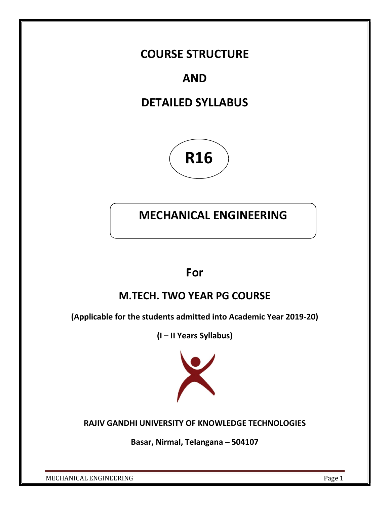## COURSE STRUCTURE

# AND

# DETAILED SYLLABUS



# MECHANICAL ENGINEERING

## For

## M.TECH. TWO YEAR PG COURSE

(Applicable for the students admitted into Academic Year 2019-20)

(I – II Years Syllabus)



## RAJIV GANDHI UNIVERSITY OF KNOWLEDGE TECHNOLOGIES

Basar, Nirmal, Telangana – 504107

MECHANICAL ENGINEERING Page 1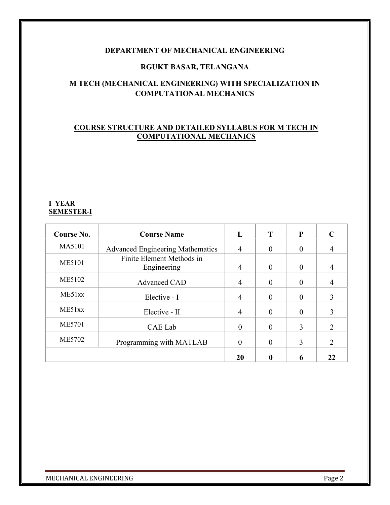### DEPARTMENT OF MECHANICAL ENGINEERING

### RGUKT BASAR, TELANGANA

## M TECH (MECHANICAL ENGINEERING) WITH SPECIALIZATION IN COMPUTATIONAL MECHANICS

## COURSE STRUCTURE AND DETAILED SYLLABUS FOR M TECH IN COMPUTATIONAL MECHANICS

#### I YEAR SEMESTER-I

| Course No.    | <b>Course Name</b>                      | L              | Т        | P        |                |
|---------------|-----------------------------------------|----------------|----------|----------|----------------|
| MA5101        | <b>Advanced Engineering Mathematics</b> | $\overline{4}$ | 0        | 0        |                |
| <b>ME5101</b> | Finite Element Methods in               |                |          |          |                |
|               | Engineering                             | $\overline{4}$ | $\Omega$ | $\Omega$ | 4              |
| ME5102        | Advanced CAD                            | 4              | 0        | $\Omega$ |                |
| ME51xx        | Elective - I                            | 4              | $\theta$ | $\theta$ | 3              |
| ME51xx        | Elective - II                           | 4              | 0        |          | 3              |
| <b>ME5701</b> | CAE Lab                                 | 0              | $\Omega$ | 3        | $\overline{2}$ |
| <b>ME5702</b> | Programming with MATLAB                 | 0              | 0        | 3        | 2              |
|               |                                         | 20             |          | 6        | 22             |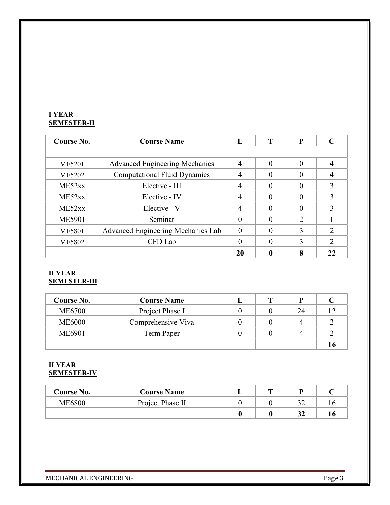### I YEAR SEMESTER-II

| Course No.    | <b>Course Name</b>                    | L              | т | P |  |
|---------------|---------------------------------------|----------------|---|---|--|
|               |                                       |                |   |   |  |
| ME5201        | <b>Advanced Engineering Mechanics</b> | $\overline{4}$ |   |   |  |
| ME5202        | <b>Computational Fluid Dynamics</b>   |                |   |   |  |
| ME52xx        | Elective - III                        | 4              |   |   |  |
| ME52xx        | Elective - IV                         | 4              |   |   |  |
| ME52xx        | Elective - V                          | 4              |   |   |  |
| <b>ME5901</b> | Seminar                               |                |   | 2 |  |
| <b>ME5801</b> | Advanced Engineering Mechanics Lab    | $\Omega$       |   | 3 |  |
| <b>ME5802</b> | CFD Lab                               |                |   | ζ |  |
|               |                                       | 20             |   |   |  |

## II YEAR SEMESTER-III

| Course No.    | <b>Course Name</b> |  |    |  |
|---------------|--------------------|--|----|--|
| <b>ME6700</b> | Project Phase I    |  | 24 |  |
| <b>ME6000</b> | Comprehensive Viva |  |    |  |
| <b>ME6901</b> | Term Paper         |  |    |  |
|               |                    |  |    |  |

#### II YEAR SEMESTER-IV

| <b>Course No.</b> | <b>Course Name</b> | m | ח |  |
|-------------------|--------------------|---|---|--|
| ME6800            | Project Phase II   |   |   |  |
|                   |                    |   |   |  |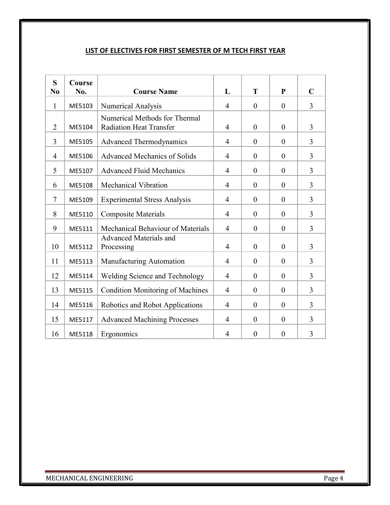### LIST OF ELECTIVES FOR FIRST SEMESTER OF M TECH FIRST YEAR

| S<br>N <sub>0</sub> | <b>Course</b><br>No. | <b>Course Name</b>                                              | L              | T              | P              | $\mathbf C$    |
|---------------------|----------------------|-----------------------------------------------------------------|----------------|----------------|----------------|----------------|
|                     |                      |                                                                 |                |                |                |                |
| $\mathbf{1}$        | ME5103               | Numerical Analysis                                              | $\overline{4}$ | $\theta$       | $\theta$       | $\overline{3}$ |
| $\overline{2}$      | ME5104               | Numerical Methods for Thermal<br><b>Radiation Heat Transfer</b> | $\overline{4}$ | $\theta$       | $\overline{0}$ | $\overline{3}$ |
| 3                   | ME5105               | <b>Advanced Thermodynamics</b>                                  | $\overline{4}$ | $\theta$       | $\overline{0}$ | $\overline{3}$ |
| $\overline{4}$      | ME5106               | <b>Advanced Mechanics of Solids</b>                             | $\overline{4}$ | $\theta$       | $\overline{0}$ | $\overline{3}$ |
| 5                   | ME5107               | <b>Advanced Fluid Mechanics</b>                                 | $\overline{4}$ | $\theta$       | $\overline{0}$ | $\overline{3}$ |
| 6                   | ME5108               | <b>Mechanical Vibration</b>                                     | $\overline{4}$ | $\overline{0}$ | $\overline{0}$ | $\overline{3}$ |
| $\tau$              | ME5109               | <b>Experimental Stress Analysis</b>                             | $\overline{4}$ | $\theta$       | $\overline{0}$ | $\overline{3}$ |
| 8                   | ME5110               | <b>Composite Materials</b>                                      | $\overline{4}$ | $\overline{0}$ | $\theta$       | $\overline{3}$ |
| 9                   | ME5111               | Mechanical Behaviour of Materials                               | $\overline{4}$ | $\overline{0}$ | $\theta$       | $\overline{3}$ |
| 10                  | ME5112               | Advanced Materials and<br>Processing                            | $\overline{4}$ | $\theta$       | $\theta$       | $\overline{3}$ |
| 11                  | ME5113               | Manufacturing Automation                                        | $\overline{4}$ | $\theta$       | $\theta$       | 3              |
| 12                  | ME5114               | Welding Science and Technology                                  | $\overline{4}$ | $\theta$       | $\theta$       | $\overline{3}$ |
| 13                  | ME5115               | <b>Condition Monitoring of Machines</b>                         | $\overline{4}$ | $\overline{0}$ | $\overline{0}$ | $\overline{3}$ |
| 14                  | ME5116               | Robotics and Robot Applications                                 | 4              | $\theta$       | $\theta$       | 3              |
| 15                  | ME5117               | <b>Advanced Machining Processes</b>                             | $\overline{4}$ | $\theta$       | $\overline{0}$ | 3              |
| 16                  | ME5118               | Ergonomics                                                      | $\overline{4}$ | $\overline{0}$ | $\overline{0}$ | 3              |